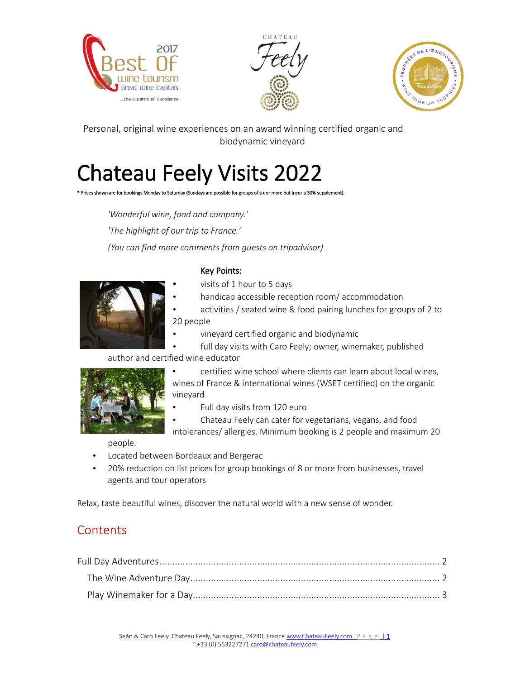





Personal, original wine experiences on an award winning certified organic and biodynamic vineyard

# Chateau Feely Visits 2022

\* Prices shown are for bookings Monday to Saturday (Sundays are possible for groups of six or more but incur a 30% supplement).

*'Wonderful wine, food and company.' 'The highlight of our trip to France.' (You can find more comments from guests on tripadvisor)*



#### Key Points:

visits of 1 hour to 5 days

• handicap accessible reception room/ accommodation

• activities / seated wine & food pairing lunches for groups of 2 to 20 people

• vineyard certified organic and biodynamic

full day visits with Caro Feely; owner, winemaker, published author and certified wine educator



• certified wine school where clients can learn about local wines, wines of France & international wines (WSET certified) on the organic vineyard

• Full day visits from 120 euro

• Chateau Feely can cater for vegetarians, vegans, and food intolerances/ allergies. Minimum booking is 2 people and maximum 20

people.

- Located between Bordeaux and Bergerac
- 20% reduction on list prices for group bookings of 8 or more from businesses, travel agents and tour operators

Relax, taste beautiful wines, discover the natural world with a new sense of wonder.

#### **Contents**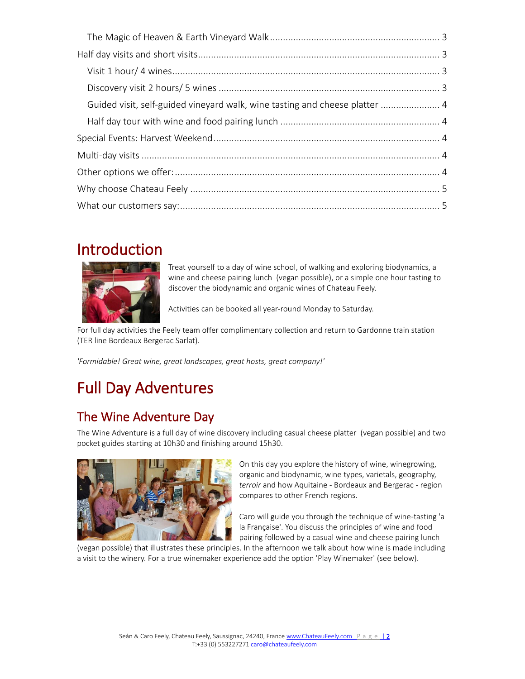| Guided visit, self-guided vineyard walk, wine tasting and cheese platter  4 |  |
|-----------------------------------------------------------------------------|--|
|                                                                             |  |
|                                                                             |  |
|                                                                             |  |
|                                                                             |  |
|                                                                             |  |
|                                                                             |  |

### Introduction



Treat yourself to a day of wine school, of walking and exploring biodynamics, a wine and cheese pairing lunch (vegan possible), or a simple one hour tasting to discover the biodynamic and organic wines of Chateau Feely.

Activities can be booked all year-round Monday to Saturday.

For full day activities the Feely team offer complimentary collection and return to Gardonne train station (TER line Bordeaux Bergerac Sarlat).

*'Formidable! Great wine, great landscapes, great hosts, great company!'*

## Full Day Adventures

#### The Wine Adventure Day

The Wine Adventure is a full day of wine discovery including casual cheese platter (vegan possible) and two pocket guides starting at 10h30 and finishing around 15h30.



On this day you explore the history of wine, winegrowing, organic and biodynamic, wine types, varietals, geography, *terroir* and how Aquitaine - Bordeaux and Bergerac - region compares to other French regions.

Caro will guide you through the technique of wine-tasting 'a la Française'. You discuss the principles of wine and food pairing followed by a casual wine and cheese pairing lunch

(vegan possible) that illustrates these principles. In the afternoon we talk about how wine is made including a visit to the winery. For a true winemaker experience add the option 'Play Winemaker' (see below).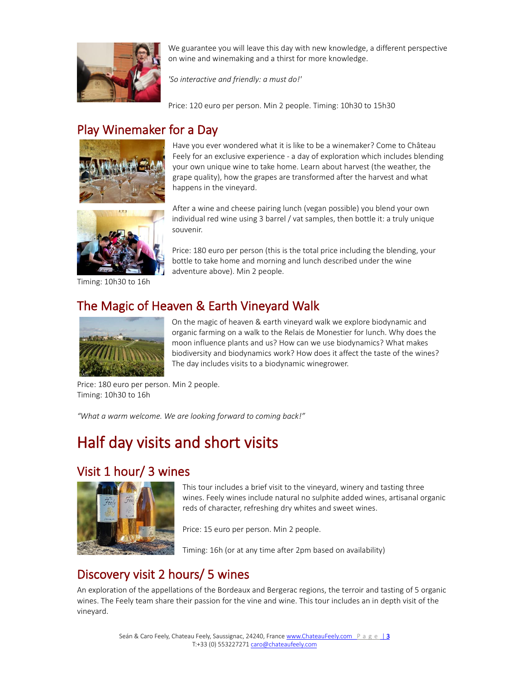

We guarantee you will leave this day with new knowledge, a different perspective on wine and winemaking and a thirst for more knowledge.

*'So interactive and friendly: a must do!'*

Price: 120 euro per person. Min 2 people. Timing: 10h30 to 15h30

### Play Winemaker for a Day





Timing: 10h30 to 16h

Price: 180 euro per person (this is the total price including the blending, your bottle to take home and morning and lunch described under the wine

After a wine and cheese pairing lunch (vegan possible) you blend your own individual red wine using 3 barrel / vat samples, then bottle it: a truly unique

Have you ever wondered what it is like to be a winemaker? Come to Château Feely for an exclusive experience - a day of exploration which includes blending your own unique wine to take home. Learn about harvest (the weather, the grape quality), how the grapes are transformed after the harvest and what

#### The Magic of Heaven & Earth Vineyard Walk

souvenir.

happens in the vineyard.

adventure above). Min 2 people.



On the magic of heaven & earth vineyard walk we explore biodynamic and organic farming on a walk to the Relais de Monestier for lunch. Why does the moon influence plants and us? How can we use biodynamics? What makes biodiversity and biodynamics work? How does it affect the taste of the wines? The day includes visits to a biodynamic winegrower.

Price: 180 euro per person. Min 2 people. Timing: 10h30 to 16h

*"What a warm welcome. We are looking forward to coming back!"*

### Half day visits and short visits

#### Visit 1 hour/ 3 wines



This tour includes a brief visit to the vineyard, winery and tasting three wines. Feely wines include natural no sulphite added wines, artisanal organic reds of character, refreshing dry whites and sweet wines.

Price: 15 euro per person. Min 2 people.

Timing: 16h (or at any time after 2pm based on availability)

#### Discovery visit 2 hours/ 5 wines

An exploration of the appellations of the Bordeaux and Bergerac regions, the terroir and tasting of 5 organic wines. The Feely team share their passion for the vine and wine. This tour includes an in depth visit of the vineyard.